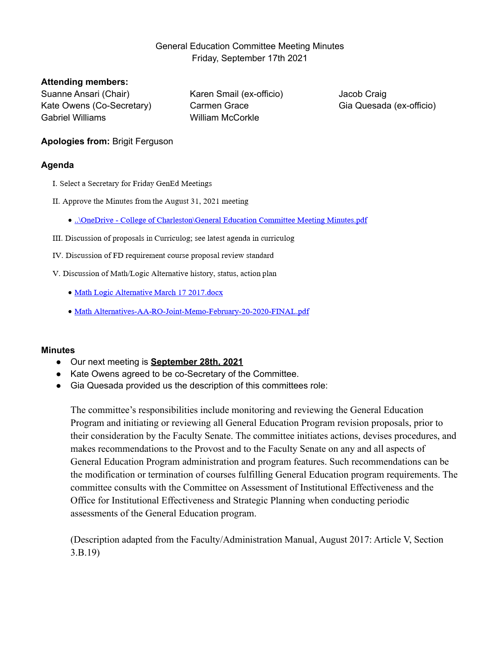# General Education Committee Meeting Minutes Friday, September 17th 2021

#### **Attending members:**

Suanne Ansari (Chair) Kate Owens (Co-Secretary) Gabriel Williams

Karen Smail (ex-officio) Carmen Grace William McCorkle

Jacob Craig Gia Quesada (ex-officio)

# **Apologies from:** Brigit Ferguson

## **Agenda**

- I. Select a Secretary for Friday GenEd Meetings
- II. Approve the Minutes from the August 31, 2021 meeting
	- ..\OneDrive College of Charleston\General Education Committee Meeting Minutes.pdf
- III. Discussion of proposals in Curriculog; see latest agenda in curriculog
- IV. Discussion of FD requirement course proposal review standard
- V. Discussion of Math/Logic Alternative history, status, action plan
	- · Math Logic Alternative March 17 2017.docx
	- Math Alternatives-AA-RO-Joint-Memo-February-20-2020-FINAL.pdf

## **Minutes**

- Our next meeting is **September 28th, 2021**
- Kate Owens agreed to be co-Secretary of the Committee.
- Gia Quesada provided us the description of this committees role:

The committee's responsibilities include monitoring and reviewing the General Education Program and initiating or reviewing all General Education Program revision proposals, prior to their consideration by the Faculty Senate. The committee initiates actions, devises procedures, and makes recommendations to the Provost and to the Faculty Senate on any and all aspects of General Education Program administration and program features. Such recommendations can be the modification or termination of courses fulfilling General Education program requirements. The committee consults with the Committee on Assessment of Institutional Effectiveness and the Office for Institutional Effectiveness and Strategic Planning when conducting periodic assessments of the General Education program.

(Description adapted from the Faculty/Administration Manual, August 2017: Article V, Section 3.B.19)